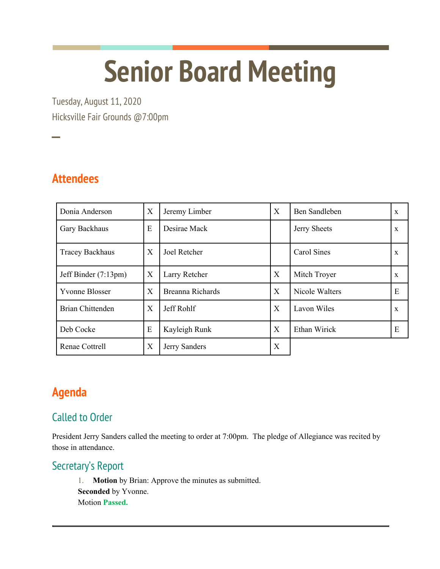# **Senior Board Meeting**

Tuesday, August 11, 2020 Hicksville Fair Grounds @7:00pm

**Attendees**

──<br>──

| Donia Anderson          | X | Jeremy Limber    | X | <b>Ben Sandleben</b> | X           |
|-------------------------|---|------------------|---|----------------------|-------------|
| Gary Backhaus           | E | Desirae Mack     |   | Jerry Sheets         | X           |
| <b>Tracey Backhaus</b>  | X | Joel Retcher     |   | Carol Sines          | X           |
| Jeff Binder (7:13pm)    | X | Larry Retcher    | X | Mitch Troyer         | X           |
| <b>Yvonne Blosser</b>   | X | Breanna Richards | Χ | Nicole Walters       | E           |
| <b>Brian Chittenden</b> | X | Jeff Rohlf       | X | Lavon Wiles          | $\mathbf X$ |
| Deb Cocke               | E | Kayleigh Runk    | X | Ethan Wirick         | E           |
| Renae Cottrell          | X | Jerry Sanders    | X |                      |             |

# **Agenda**

## Called to Order

President Jerry Sanders called the meeting to order at 7:00pm. The pledge of Allegiance was recited by those in attendance.

### Secretary's Report

1. **Motion** by Brian: Approve the minutes as submitted. **Seconded** by Yvonne. Motion **Passed.**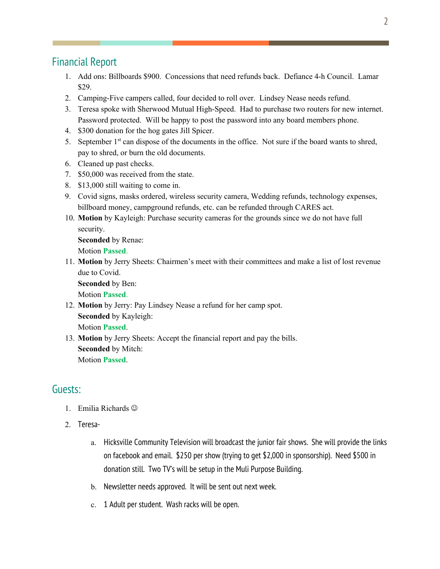#### Financial Report

- 1. Add ons: Billboards \$900. Concessions that need refunds back. Defiance 4-h Council. Lamar \$29.
- 2. Camping-Five campers called, four decided to roll over. Lindsey Nease needs refund.
- 3. Teresa spoke with Sherwood Mutual High-Speed. Had to purchase two routers for new internet. Password protected. Will be happy to post the password into any board members phone.
- 4. \$300 donation for the hog gates Jill Spicer.
- 5. September 1<sup>st</sup> can dispose of the documents in the office. Not sure if the board wants to shred, pay to shred, or burn the old documents.
- 6. Cleaned up past checks.
- 7. \$50,000 was received from the state.
- 8. \$13,000 still waiting to come in.
- 9. Covid signs, masks ordered, wireless security camera, Wedding refunds, technology expenses, billboard money, campground refunds, etc. can be refunded through CARES act.
- 10. **Motion** by Kayleigh: Purchase security cameras for the grounds since we do not have full security.

**Seconded** by Renae: Motion **Passed**.

11. **Motion** by Jerry Sheets: Chairmen's meet with their committees and make a list of lost revenue due to Covid.

**Seconded** by Ben:

Motion **Passed**.

- 12. **Motion** by Jerry: Pay Lindsey Nease a refund for her camp spot. **Seconded** by Kayleigh: Motion **Passed**.
- 13. **Motion** by Jerry Sheets: Accept the financial report and pay the bills. **Seconded** by Mitch: Motion **Passed**.

#### Guests:

- 1. Emilia Richards  $\odot$
- 2. Teresa
	- a. Hicksville Community Television will broadcast the junior fair shows. She will provide the links on facebook and email. \$250 per show (trying to get \$2,000 in sponsorship). Need \$500 in donation still. Two TV's will be setup in the Muli Purpose Building.
	- b. Newsletter needs approved. It will be sent out next week.
	- c. 1 Adult per student. Wash racks will be open.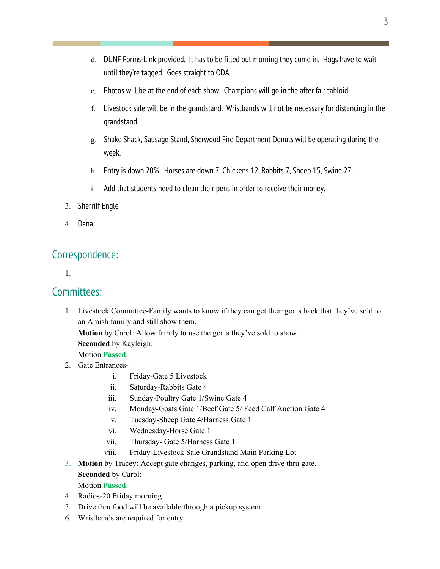- d. DUNF Forms-Link provided. It has to be filled out morning they come in. Hogs have to wait until they're tagged. Goes straight to ODA.
- e. Photos will be at the end of each show. Champions will go in the after fair tabloid.
- f. Livestock sale will be in the grandstand. Wristbands will not be necessary for distancing in the grandstand.
- g. Shake Shack, Sausage Stand, Sherwood Fire Department Donuts will be operating during the week.
- h. Entry is down 20%. Horses are down 7, Chickens 12, Rabbits 7, Sheep 15, Swine 27.
- i. Add that students need to clean their pens in order to receive their money.
- 3. Sherriff Engle
- 4. Dana

#### Correspondence:

1.

#### Committees:

1. Livestock Committee-Family wants to know if they can get their goats back that they've sold to an Amish family and still show them.

**Motion** by Carol: Allow family to use the goats they've sold to show.

**Seconded** by Kayleigh:

Motion **Passed**.

- 2. Gate Entrances
	- i. Friday-Gate 5 Livestock
	- ii. Saturday-Rabbits Gate 4
	- iii. Sunday-Poultry Gate 1/Swine Gate 4
	- iv. Monday-Goats Gate 1/Beef Gate 5/ Feed Calf Auction Gate 4
	- v. Tuesday-Sheep Gate 4/Harness Gate 1
	- vi. Wednesday-Horse Gate 1
	- vii. Thursday- Gate 5/Harness Gate 1
	- viii. Friday-Livestock Sale Grandstand Main Parking Lot
- 3. **Motion** by Tracey: Accept gate changes, parking, and open drive thru gate. **Seconded** by Carol:

Motion **Passed**.

- 4. Radios-20 Friday morning
- 5. Drive thru food will be available through a pickup system.
- 6. Wristbands are required for entry.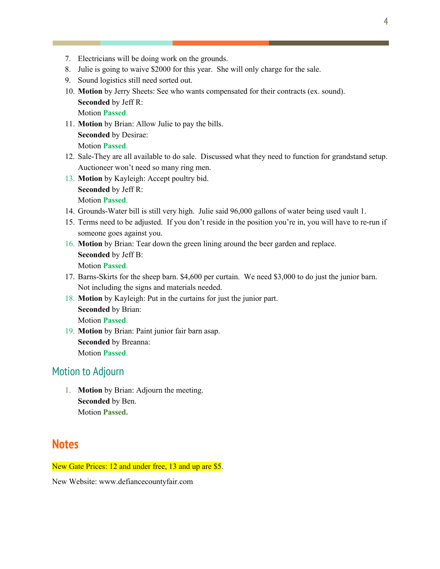- 7. Electricians will be doing work on the grounds.
- 8. Julie is going to waive \$2000 for this year. She will only charge for the sale.
- 9. Sound logistics still need sorted out.
- 10. **Motion** by Jerry Sheets: See who wants compensated for their contracts (ex. sound). **Seconded** by Jeff R: Motion **Passed**.
- 11. **Motion** by Brian: Allow Julie to pay the bills. **Seconded** by Desirae:

Motion **Passed**.

- 12. Sale-They are all available to do sale. Discussed what they need to function for grandstand setup. Auctioneer won't need so many ring men.
- 13. **Motion** by Kayleigh: Accept poultry bid. **Seconded** by Jeff R:

Motion **Passed**.

- 14. Grounds-Water bill is still very high. Julie said 96,000 gallons of water being used vault 1.
- 15. Terms need to be adjusted. If you don't reside in the position you're in, you will have to re-run if someone goes against you.
- 16. **Motion** by Brian: Tear down the green lining around the beer garden and replace. **Seconded** by Jeff B: Motion **Passed**.
- 17. Barns-Skirts for the sheep barn. \$4,600 per curtain. We need \$3,000 to do just the junior barn. Not including the signs and materials needed.
- 18. **Motion** by Kayleigh: Put in the curtains for just the junior part. **Seconded** by Brian: Motion **Passed**.
- 19. **Motion** by Brian: Paint junior fair barn asap. **Seconded** by Breanna: Motion **Passed**.

#### Motion to Adjourn

1. **Motion** by Brian: Adjourn the meeting. **Seconded** by Ben. Motion **Passed.**

#### **Notes**

New Gate Prices: 12 and under free, 13 and up are \$5.

New Website: www.defiancecountyfair.com